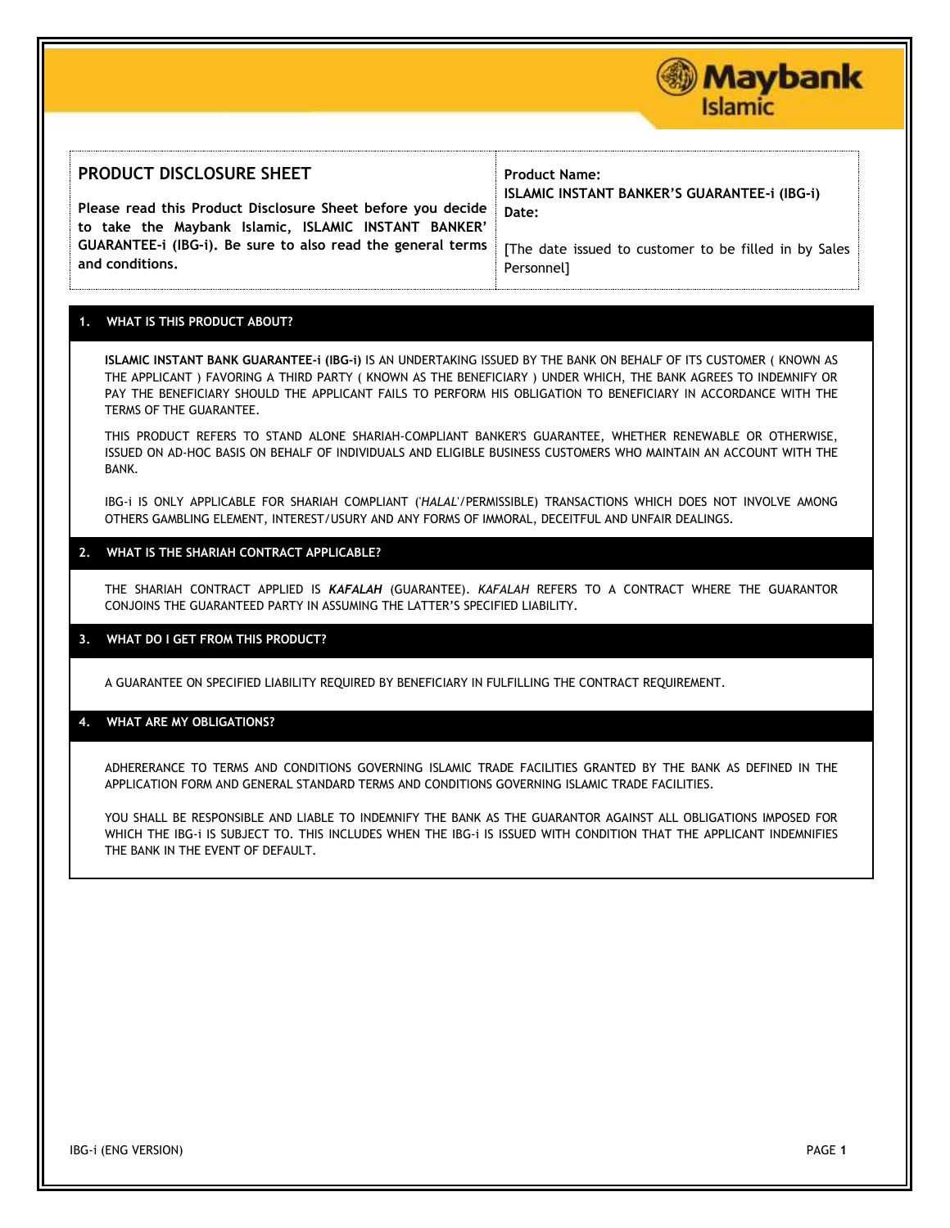#### **PRODUCT DISCLOSURE SHEET Please read this Product Disclosure Sheet before you decide to take the Maybank Islamic, ISLAMIC INSTANT BANKER' GUARANTEE-i (IBG-i). Be sure to also read the general terms and conditions. Product Name: ISLAMIC INSTANT BANKER'S GUARANTEE-i (IBG-i) Date:**  [The date issued to customer to be filled in by Sales Personnel]

## **1. WHAT IS THIS PRODUCT ABOUT?**

**ISLAMIC INSTANT BANK GUARANTEE-i (IBG-i)** IS AN UNDERTAKING ISSUED BY THE BANK ON BEHALF OF ITS CUSTOMER ( KNOWN AS THE APPLICANT ) FAVORING A THIRD PARTY ( KNOWN AS THE BENEFICIARY ) UNDER WHICH, THE BANK AGREES TO INDEMNIFY OR PAY THE BENEFICIARY SHOULD THE APPLICANT FAILS TO PERFORM HIS OBLIGATION TO BENEFICIARY IN ACCORDANCE WITH THE TERMS OF THE GUARANTEE.

THIS PRODUCT REFERS TO STAND ALONE SHARIAH-COMPLIANT BANKER'S GUARANTEE, WHETHER RENEWABLE OR OTHERWISE, ISSUED ON AD-HOC BASIS ON BEHALF OF INDIVIDUALS AND ELIGIBLE BUSINESS CUSTOMERS WHO MAINTAIN AN ACCOUNT WITH THE BANK.

IBG-i IS ONLY APPLICABLE FOR SHARIAH COMPLIANT ('*HALAL*'/PERMISSIBLE) TRANSACTIONS WHICH DOES NOT INVOLVE AMONG OTHERS GAMBLING ELEMENT, INTEREST/USURY AND ANY FORMS OF IMMORAL, DECEITFUL AND UNFAIR DEALINGS.

### **2. WHAT IS THE SHARIAH CONTRACT APPLICABLE?**

THE SHARIAH CONTRACT APPLIED IS *KAFALAH* (GUARANTEE). *KAFALAH* REFERS TO A CONTRACT WHERE THE GUARANTOR CONJOINS THE GUARANTEED PARTY IN ASSUMING THE LATTER'S SPECIFIED LIABILITY.

## **3. WHAT DO I GET FROM THIS PRODUCT?**

A GUARANTEE ON SPECIFIED LIABILITY REQUIRED BY BENEFICIARY IN FULFILLING THE CONTRACT REQUIREMENT.

### **4. WHAT ARE MY OBLIGATIONS?**

ADHERERANCE TO TERMS AND CONDITIONS GOVERNING ISLAMIC TRADE FACILITIES GRANTED BY THE BANK AS DEFINED IN THE APPLICATION FORM AND GENERAL STANDARD TERMS AND CONDITIONS GOVERNING ISLAMIC TRADE FACILITIES.

YOU SHALL BE RESPONSIBLE AND LIABLE TO INDEMNIFY THE BANK AS THE GUARANTOR AGAINST ALL OBLIGATIONS IMPOSED FOR WHICH THE IBG-i IS SUBJECT TO. THIS INCLUDES WHEN THE IBG-i IS ISSUED WITH CONDITION THAT THE APPLICANT INDEMNIFIES THE BANK IN THE EVENT OF DEFAULT.

**Maybank** 

Islamic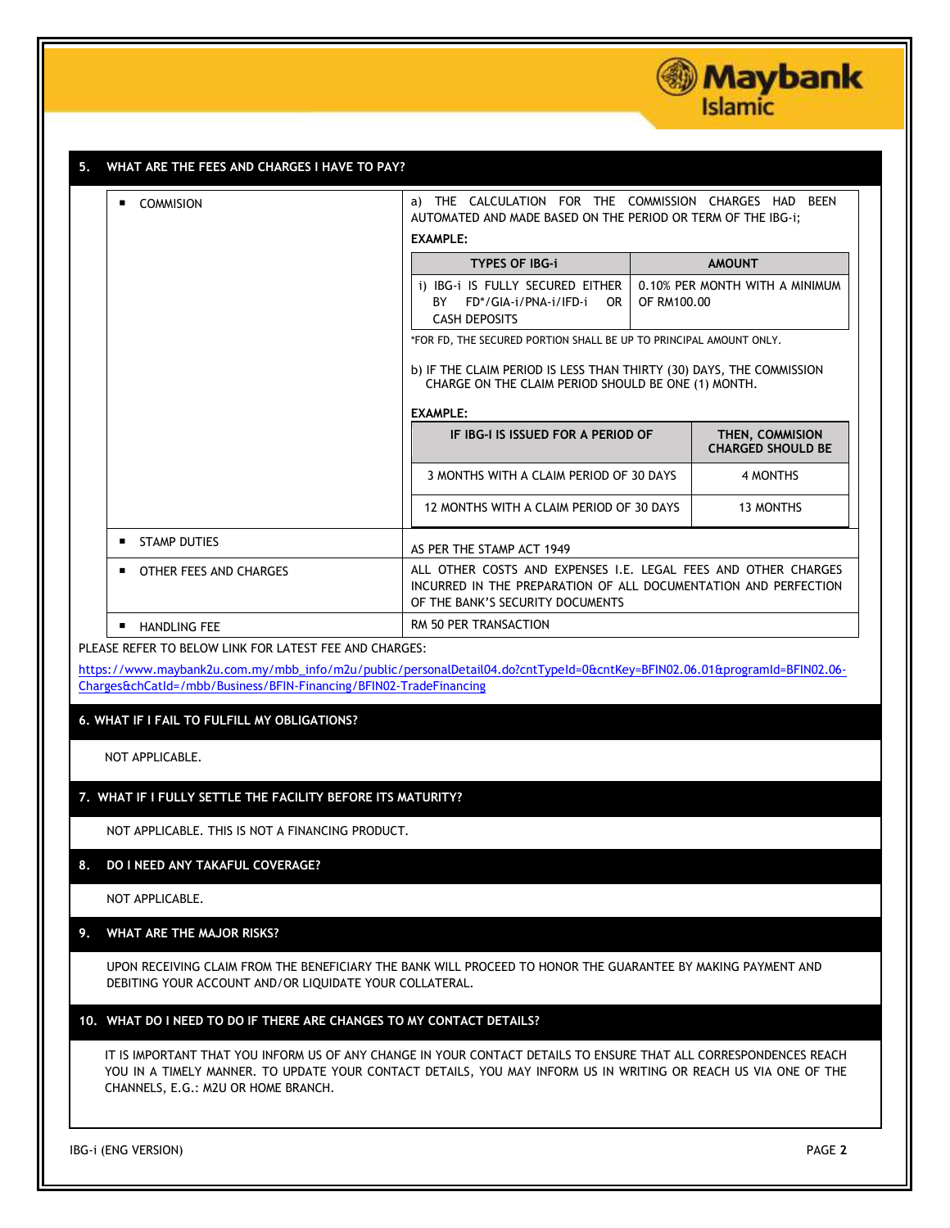

| <b>COMMISION</b><br>$\blacksquare$                                 | <b>EXAMPLE:</b>                                                                                                                                                       | a) THE CALCULATION FOR THE COMMISSION CHARGES HAD BEEN<br>AUTOMATED AND MADE BASED ON THE PERIOD OR TERM OF THE IBG-1;      |  |  |
|--------------------------------------------------------------------|-----------------------------------------------------------------------------------------------------------------------------------------------------------------------|-----------------------------------------------------------------------------------------------------------------------------|--|--|
|                                                                    | <b>TYPES OF IBG-i</b>                                                                                                                                                 | <b>AMOUNT</b>                                                                                                               |  |  |
|                                                                    | i) IBG-i IS FULLY SECURED EITHER<br>BY FD*/GIA-i/PNA-i/IFD-i<br>OR .<br><b>CASH DEPOSITS</b>                                                                          | 0.10% PER MONTH WITH A MINIMUM<br>OF RM100.00                                                                               |  |  |
|                                                                    | *FOR FD, THE SECURED PORTION SHALL BE UP TO PRINCIPAL AMOUNT ONLY.                                                                                                    |                                                                                                                             |  |  |
|                                                                    |                                                                                                                                                                       | b) IF THE CLAIM PERIOD IS LESS THAN THIRTY (30) DAYS, THE COMMISSION<br>CHARGE ON THE CLAIM PERIOD SHOULD BE ONE (1) MONTH. |  |  |
|                                                                    | <b>EXAMPLE:</b>                                                                                                                                                       |                                                                                                                             |  |  |
|                                                                    | IF IBG-I IS ISSUED FOR A PERIOD OF                                                                                                                                    | THEN, COMMISION<br><b>CHARGED SHOULD BE</b>                                                                                 |  |  |
|                                                                    | 3 MONTHS WITH A CLAIM PERIOD OF 30 DAYS                                                                                                                               | 4 MONTHS                                                                                                                    |  |  |
|                                                                    | 12 MONTHS WITH A CLAIM PERIOD OF 30 DAYS                                                                                                                              | <b>13 MONTHS</b>                                                                                                            |  |  |
| ٠<br>STAMP DUTIES                                                  | AS PER THE STAMP ACT 1949                                                                                                                                             |                                                                                                                             |  |  |
| OTHER FEES AND CHARGES<br>п                                        | ALL OTHER COSTS AND EXPENSES I.E. LEGAL FEES AND OTHER CHARGES<br>INCURRED IN THE PREPARATION OF ALL DOCUMENTATION AND PERFECTION<br>OF THE BANK'S SECURITY DOCUMENTS |                                                                                                                             |  |  |
| <b>HANDLING FEE</b><br>$\blacksquare$                              | RM 50 PER TRANSACTION                                                                                                                                                 |                                                                                                                             |  |  |
| PLEASE REFER TO BELOW LINK FOR LATEST FEE AND CHARGES:             |                                                                                                                                                                       |                                                                                                                             |  |  |
|                                                                    | https://www.maybank2u.com.my/mbb_info/m2u/public/personalDetail04.do?cntTypeId=0&cntKey=BFIN02.06.01&programId=BFIN02.06-                                             |                                                                                                                             |  |  |
| Charges&chCatId=/mbb/Business/BFIN-Financing/BFIN02-TradeFinancing |                                                                                                                                                                       |                                                                                                                             |  |  |
| 6. WHAT IF I FAIL TO FULFILL MY OBLIGATIONS?                       |                                                                                                                                                                       |                                                                                                                             |  |  |
|                                                                    |                                                                                                                                                                       |                                                                                                                             |  |  |

NOT APPLICABLE. THIS IS NOT A FINANCING PRODUCT.

## **8. DO I NEED ANY TAKAFUL COVERAGE?**

NOT APPLICABLE.

# **9. WHAT ARE THE MAJOR RISKS?**

UPON RECEIVING CLAIM FROM THE BENEFICIARY THE BANK WILL PROCEED TO HONOR THE GUARANTEE BY MAKING PAYMENT AND DEBITING YOUR ACCOUNT AND/OR LIQUIDATE YOUR COLLATERAL.

## **10. WHAT DO I NEED TO DO IF THERE ARE CHANGES TO MY CONTACT DETAILS?**

IT IS IMPORTANT THAT YOU INFORM US OF ANY CHANGE IN YOUR CONTACT DETAILS TO ENSURE THAT ALL CORRESPONDENCES REACH YOU IN A TIMELY MANNER. TO UPDATE YOUR CONTACT DETAILS, YOU MAY INFORM US IN WRITING OR REACH US VIA ONE OF THE CHANNELS, E.G.: M2U OR HOME BRANCH.

IBG*-*i (ENG VERSION) PAGE **2**